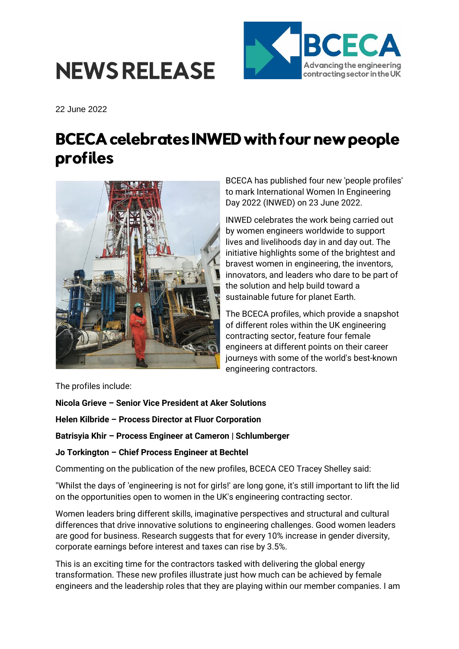



22 June 2022

## **BCECA celebrates INWED with four new people** profiles



BCECA has published four new 'people profiles' to mark International Women In Engineering Day 2022 (INWED) on 23 June 2022.

INWED celebrates the work being carried out by women engineers worldwide to support lives and livelihoods day in and day out. The initiative highlights some of the brightest and bravest women in engineering, the inventors, innovators, and leaders who dare to be part of the solution and help build toward a sustainable future for planet Earth.

The BCECA profiles, which provide a snapshot of different roles within the UK engineering contracting sector, feature four female engineers at different points on their career journeys with some of the world's best-known engineering contractors.

The profiles include:

**Nicola Grieve – Senior Vice President at Aker Solutions**

**Helen Kilbride – Process Director at Fluor Corporation**

**Batrisyia Khir – Process Engineer at Cameron | Schlumberger**

**Jo Torkington – Chief Process Engineer at Bechtel**

Commenting on the publication of the new profiles, BCECA CEO Tracey Shelley said:

"Whilst the days of 'engineering is not for girls!' are long gone, it's still important to lift the lid on the opportunities open to women in the UK's engineering contracting sector.

Women leaders bring different skills, imaginative perspectives and structural and cultural differences that drive innovative solutions to engineering challenges. Good women leaders are good for business. Research suggests that for every 10% increase in gender diversity, corporate earnings before interest and taxes can rise by 3.5%.

This is an exciting time for the contractors tasked with delivering the global energy transformation. These new profiles illustrate just how much can be achieved by female engineers and the leadership roles that they are playing within our member companies. I am